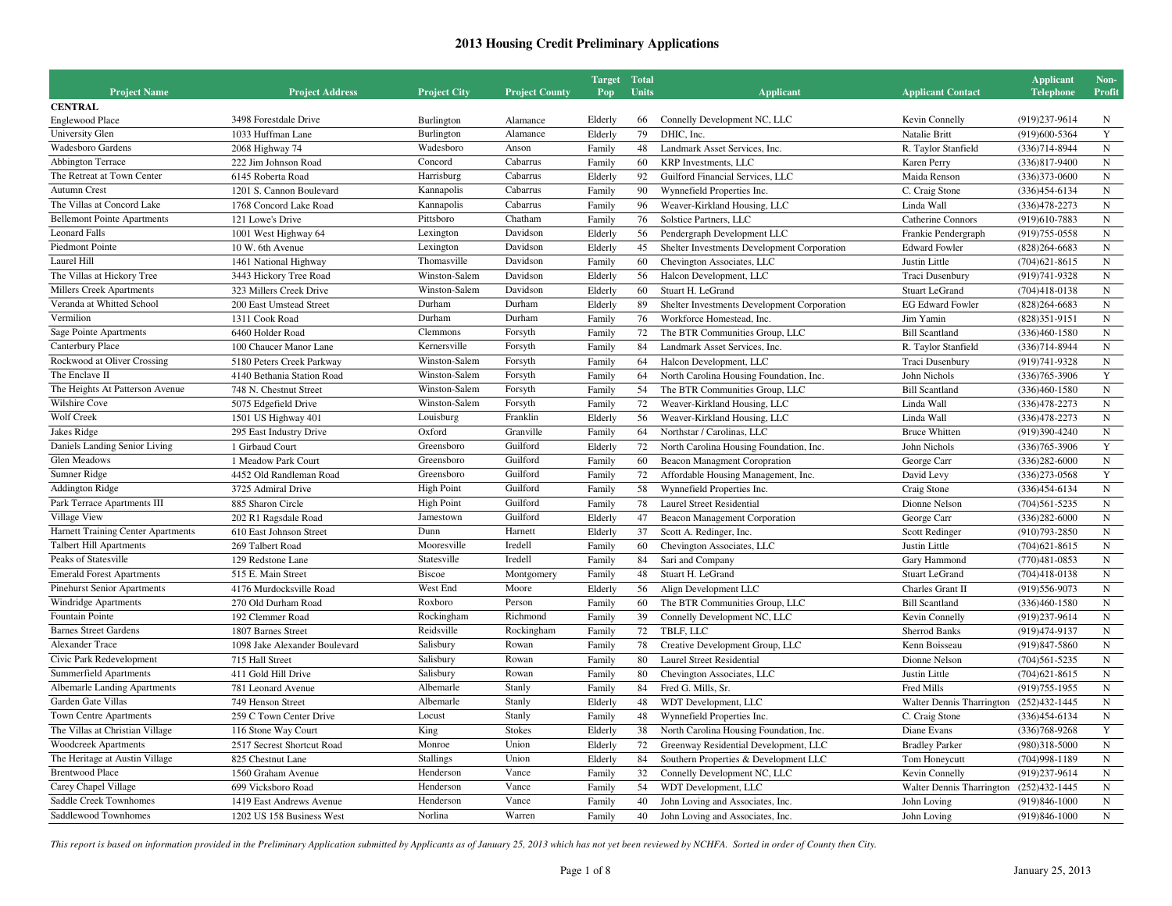|                                     |                                       |                           |                       | <b>Target</b> Total |              |                                                          |                                         | <b>Applicant</b>  | Non-                   |
|-------------------------------------|---------------------------------------|---------------------------|-----------------------|---------------------|--------------|----------------------------------------------------------|-----------------------------------------|-------------------|------------------------|
| <b>Project Name</b>                 | <b>Project Address</b>                | <b>Project City</b>       | <b>Project County</b> | Pop                 | <b>Units</b> | <b>Applicant</b>                                         | <b>Applicant Contact</b>                | <b>Telephone</b>  | <b>Profit</b>          |
| <b>CENTRAL</b>                      |                                       |                           |                       |                     |              |                                                          |                                         |                   |                        |
| <b>Englewood Place</b>              | 3498 Forestdale Drive                 | Burlington                | Alamance              | Elderly             | 66           | Connelly Development NC, LLC                             | Kevin Connelly                          | (919) 237-9614    | N                      |
| University Glen                     | 1033 Huffman Lane                     | Burlington                | Alamance              | Elderly             | 79           | DHIC, Inc.                                               | Natalie Britt                           | (919)600-5364     | Y                      |
| Wadesboro Gardens                   | 2068 Highway 74                       | Wadesboro                 | Anson                 | Family              | 48           | Landmark Asset Services, Inc.                            | R. Taylor Stanfield                     | $(336)714 - 8944$ | ${\bf N}$              |
| Abbington Terrace                   | 222 Jim Johnson Road                  | Concord                   | Cabarrus              | Family              | 60           | <b>KRP</b> Investments, LLC                              | Karen Perry                             | $(336)817 - 9400$ | ${\bf N}$              |
| The Retreat at Town Center          | 6145 Roberta Road                     | Harrisburg                | Cabarrus              | Elderly             | 92           | Guilford Financial Services, LLC                         | Maida Renson                            | $(336)373-0600$   | ${\bf N}$              |
| <b>Autumn Crest</b>                 | 1201 S. Cannon Boulevard              | Kannapolis                | Cabarrus              | Family              | 90           | Wynnefield Properties Inc.                               | C. Craig Stone                          | $(336)454-6134$   | ${\bf N}$              |
| The Villas at Concord Lake          | 1768 Concord Lake Road                | Kannapolis                | Cabarrus              | Family              | 96           | Weaver-Kirkland Housing, LLC                             | Linda Wall                              | $(336)478 - 2273$ | ${\bf N}$              |
| <b>Bellemont Pointe Apartments</b>  | 121 Lowe's Drive                      | Pittsboro                 | Chatham               | Family              | 76           | Solstice Partners, LLC                                   | Catherine Connors                       | (919)610-7883     | ${\bf N}$              |
| <b>Leonard Falls</b>                | 1001 West Highway 64                  | Lexington                 | Davidson              | Elderly             | 56           | Pendergraph Development LLC                              | Frankie Pendergraph                     | $(919)755-0558$   | ${\bf N}$              |
| <b>Piedmont Pointe</b>              | 10 W. 6th Avenue                      | Lexington                 | Davidson              | Elderly             | 45           | Shelter Investments Development Corporation              | <b>Edward Fowler</b>                    | $(828)264-6683$   | ${\bf N}$              |
| Laurel Hill                         | 1461 National Highway                 | Thomasville               | Davidson              | Family              | 60           | Chevington Associates, LLC                               | Justin Little                           | $(704)621 - 8615$ | ${\bf N}$              |
| The Villas at Hickory Tree          | 3443 Hickory Tree Road                | Winston-Salem             | Davidson              | Elderly             | 56           | Halcon Development, LLC                                  | Traci Dusenbury                         | (919) 741-9328    | $_{\rm N}$             |
| <b>Millers Creek Apartments</b>     | 323 Millers Creek Drive               | Winston-Salem             | Davidson              | Elderly             | 60           | Stuart H. LeGrand                                        | <b>Stuart LeGrand</b>                   | $(704)418-0138$   | ${\bf N}$              |
| Veranda at Whitted School           | 200 East Umstead Street               | Durham                    | Durham                | Elderly             | 89           | Shelter Investments Development Corporation              | <b>EG Edward Fowler</b>                 | $(828)264 - 6683$ | ${\bf N}$              |
| Vermilion                           | 1311 Cook Road                        | Durham                    | Durham                | Family              | 76           | Workforce Homestead, Inc.                                | Jim Yamin                               | $(828)351-9151$   | ${\bf N}$              |
| Sage Pointe Apartments              | 6460 Holder Road                      | Clemmons                  | Forsyth               | Family              | 72           | The BTR Communities Group, LLC                           | <b>Bill Scantland</b>                   | $(336)460 - 1580$ | ${\bf N}$              |
| Canterbury Place                    | 100 Chaucer Manor Lane                | Kernersville              | Forsyth               | Family              | 84           | Landmark Asset Services, Inc.                            | R. Taylor Stanfield                     | $(336)714 - 8944$ | ${\bf N}$              |
| Rockwood at Oliver Crossing         | 5180 Peters Creek Parkway             | Winston-Salem             | Forsyth               | Family              | 64           | Halcon Development, LLC                                  | Traci Dusenbury                         | (919) 741-9328    | ${\bf N}$              |
| The Enclave II                      | 4140 Bethania Station Road            | Winston-Salem             | Forsyth               | Family              | 64           | North Carolina Housing Foundation, Inc.                  | John Nichols                            | $(336)765 - 3906$ | Y                      |
| The Heights At Patterson Avenue     | 748 N. Chestnut Street                | Winston-Salem             | Forsyth               | Family              | 54           | The BTR Communities Group, LLC                           | <b>Bill Scantland</b>                   | $(336)460 - 1580$ | ${\bf N}$              |
| Wilshire Cove                       | 5075 Edgefield Drive                  | Winston-Salem             | Forsyth               | Family              | 72           | Weaver-Kirkland Housing, LLC                             | Linda Wall                              | $(336)478 - 2273$ | ${\bf N}$              |
| Wolf Creek                          | 1501 US Highway 401                   | Louisburg                 | Franklin              | Elderly             | 56           | Weaver-Kirkland Housing, LLC                             | Linda Wall                              | $(336)478 - 2273$ | ${\bf N}$              |
| Jakes Ridge                         | 295 East Industry Drive               | Oxford                    | Granville             | Family              | 64           | Northstar / Carolinas, LLC                               | <b>Bruce Whitten</b>                    | (919)390-4240     | ${\bf N}$              |
| Daniels Landing Senior Living       | 1 Girbaud Court                       | Greensboro                | Guilford              | Elderly             | 72           | North Carolina Housing Foundation, Inc.                  | John Nichols                            | $(336)765 - 3906$ | $\mathbf Y$            |
| Glen Meadows                        | 1 Meadow Park Court                   | Greensboro                | Guilford              | Family              | 60           | <b>Beacon Managment Coropration</b>                      | George Carr                             | $(336)282 - 6000$ | ${\bf N}$              |
| Sumner Ridge                        | 4452 Old Randleman Road               | Greensboro                | Guilford              | Family              | 72           | Affordable Housing Management, Inc.                      | David Levy                              | $(336)273-0568$   | $\mathbf Y$            |
| <b>Addington Ridge</b>              | 3725 Admiral Drive                    | <b>High Point</b>         | Guilford              | Family              | 58           | Wynnefield Properties Inc.                               | Craig Stone                             | $(336)454-6134$   | ${\bf N}$              |
| Park Terrace Apartments III         | 885 Sharon Circle                     | <b>High Point</b>         | Guilford              | Family              | 78           | <b>Laurel Street Residential</b>                         | Dionne Nelson                           | $(704)561 - 5235$ | ${\bf N}$              |
| Village View                        | 202 R1 Ragsdale Road                  | Jamestown                 | Guilford              | Elderly             | 47           |                                                          | George Carr                             | $(336)282 - 6000$ | $_{\rm N}$             |
| Harnett Training Center Apartments  | 610 East Johnson Street               | Dunn                      | Harnett               | Elderly             | 37           | Beacon Management Corporation<br>Scott A. Redinger, Inc. |                                         | $(910)793 - 2850$ | ${\bf N}$              |
| <b>Talbert Hill Apartments</b>      |                                       | Mooresville               | Iredell               |                     | 60           |                                                          | Scott Redinger                          |                   |                        |
| Peaks of Statesville                | 269 Talbert Road<br>129 Redstone Lane | Statesville               | Iredell               | Family              | 84           | Chevington Associates, LLC                               | Justin Little                           | $(704)621 - 8615$ | ${\bf N}$<br>${\bf N}$ |
|                                     |                                       |                           |                       | Family              |              | Sari and Company                                         | Gary Hammond                            | $(770)481 - 0853$ |                        |
| <b>Emerald Forest Apartments</b>    | 515 E. Main Street                    | <b>Biscoe</b><br>West End | Montgomery            | Family              | 48           | Stuart H. LeGrand                                        | Stuart LeGrand                          | $(704)418-0138$   | ${\bf N}$              |
| Pinehurst Senior Apartments         | 4176 Murdocksville Road               |                           | Moore                 | Elderly             | 56           | Align Development LLC                                    | Charles Grant II                        | (919) 556-9073    | ${\bf N}$              |
| Windridge Apartments                | 270 Old Durham Road                   | Roxboro                   | Person                | Family              | 60           | The BTR Communities Group, LLC                           | <b>Bill Scantland</b>                   | $(336)460 - 1580$ | ${\rm N}$              |
| <b>Fountain Pointe</b>              | 192 Clemmer Road                      | Rockingham                | Richmond              | Family              | 39           | Connelly Development NC, LLC                             | Kevin Connelly                          | (919) 237-9614    | $_{\rm N}$             |
| <b>Barnes Street Gardens</b>        | 1807 Barnes Street                    | Reidsville                | Rockingham            | Family              | 72           | TBLF, LLC                                                | <b>Sherrod Banks</b>                    | (919) 474-9137    | ${\bf N}$              |
| <b>Alexander Trace</b>              | 1098 Jake Alexander Boulevard         | Salisbury                 | Rowan                 | Family              | 78           | Creative Development Group, LLC                          | Kenn Boisseau                           | $(919)847 - 5860$ | ${\bf N}$              |
| Civic Park Redevelopment            | 715 Hall Street                       | Salisbury                 | Rowan                 | Family              | 80           | <b>Laurel Street Residential</b>                         | Dionne Nelson                           | $(704)561 - 5235$ | $_{\rm N}$             |
| <b>Summerfield Apartments</b>       | 411 Gold Hill Drive                   | Salisbury                 | Rowan                 | Family              | 80           | Chevington Associates, LLC                               | Justin Little                           | $(704)621 - 8615$ | ${\bf N}$              |
| <b>Albemarle Landing Apartments</b> | 781 Leonard Avenue                    | Albemarle                 | Stanly                | Family              | 84           | Fred G. Mills, Sr.                                       | Fred Mills                              | $(919)755 - 1955$ | $_{\rm N}$             |
| Garden Gate Villas                  | 749 Henson Street                     | Albemarle                 | Stanly                | Elderly             | 48           | WDT Development, LLC                                     | Walter Dennis Tharrington (252)432-1445 |                   | $_{\rm N}$             |
| Town Centre Apartments              | 259 C Town Center Drive               | Locust                    | Stanly                | Family              | 48           | Wynnefield Properties Inc.                               | C. Craig Stone                          | $(336)454-6134$   | ${\bf N}$              |
| The Villas at Christian Village     | 116 Stone Way Court                   | King                      | <b>Stokes</b>         | Elderly             | 38           | North Carolina Housing Foundation, Inc.                  | Diane Evans                             | $(336)768 - 9268$ | Y                      |
| <b>Woodcreek Apartments</b>         | 2517 Secrest Shortcut Road            | Monroe                    | Union                 | Elderly             | 72           | Greenway Residential Development, LLC                    | <b>Bradley Parker</b>                   | (980)318-5000     | ${\bf N}$              |
| The Heritage at Austin Village      | 825 Chestnut Lane                     | <b>Stallings</b>          | Union                 | Elderly             | 84           | Southern Properties & Development LLC                    | Tom Honeycutt                           | $(704)998-1189$   | $_{\rm N}$             |
| <b>Brentwood Place</b>              | 1560 Graham Avenue                    | Henderson                 | Vance                 | Family              | 32           | Connelly Development NC, LLC                             | Kevin Connelly                          | (919)237-9614     | ${\bf N}$              |
| Carey Chapel Village                | 699 Vicksboro Road                    | Henderson                 | Vance                 | Family              | 54           | WDT Development, LLC                                     | Walter Dennis Tharrington (252)432-1445 |                   | ${\bf N}$              |
| Saddle Creek Townhomes              | 1419 East Andrews Avenue              | Henderson                 | Vance                 | Family              | 40           | John Loving and Associates, Inc.                         | John Loving                             | $(919)846 - 1000$ | $\,$ N                 |
| Saddlewood Townhomes                | 1202 US 158 Business West             | Norlina                   | Warren                | Family              | 40           | John Loving and Associates, Inc.                         | John Loving                             | $(919)846-1000$   | $_{\rm N}$             |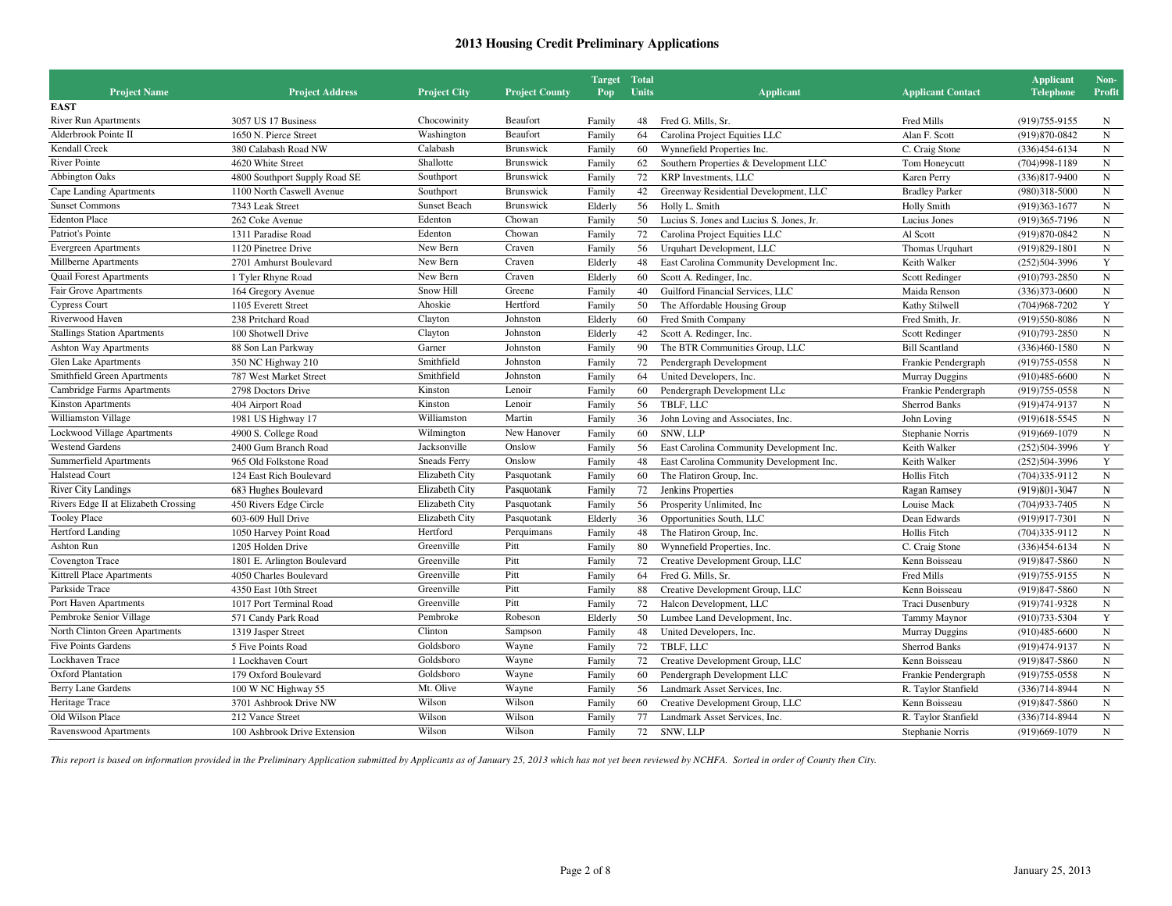|                                      |                               |                     |                       | <b>Target Total</b> |       |                                          |                          | <b>Applicant</b>  | Non-        |
|--------------------------------------|-------------------------------|---------------------|-----------------------|---------------------|-------|------------------------------------------|--------------------------|-------------------|-------------|
| <b>Project Name</b>                  | <b>Project Address</b>        | <b>Project City</b> | <b>Project County</b> | Pop-                | Units | <b>Applicant</b>                         | <b>Applicant Contact</b> | <b>Telephone</b>  | Profit      |
| <b>EAST</b>                          |                               |                     |                       |                     |       |                                          |                          |                   |             |
| <b>River Run Apartments</b>          | 3057 US 17 Business           | Chocowinity         | Beaufort              | Family              | 48    | Fred G. Mills, Sr.                       | Fred Mills               | $(919)755-9155$   | N           |
| Alderbrook Pointe II                 | 1650 N. Pierce Street         | Washington          | Beaufort              | Family              | 64    | Carolina Project Equities LLC            | Alan F. Scott            | (919) 870-0842    | ${\bf N}$   |
| <b>Kendall Creek</b>                 | 380 Calabash Road NW          | Calabash            | <b>Brunswick</b>      | Family              | 60    | Wynnefield Properties Inc.               | C. Craig Stone           | $(336)454-6134$   | ${\bf N}$   |
| <b>River Pointe</b>                  | 4620 White Street             | Shallotte           | <b>Brunswick</b>      | Family              | 62    | Southern Properties & Development LLC    | Tom Honeycutt            | $(704)998-1189$   | $\mathbf N$ |
| <b>Abbington Oaks</b>                | 4800 Southport Supply Road SE | Southport           | Brunswick             | Family              | 72    | KRP Investments, LLC                     | Karen Perry              | $(336)817 - 9400$ | $\mathbf N$ |
| Cape Landing Apartments              | 1100 North Caswell Avenue     | Southport           | Brunswick             | Family              | 42    | Greenway Residential Development, LLC    | <b>Bradley Parker</b>    | $(980)318 - 5000$ | ${\bf N}$   |
| <b>Sunset Commons</b>                | 7343 Leak Street              | <b>Sunset Beach</b> | <b>Brunswick</b>      | Elderly             | 56    | Holly L. Smith                           | <b>Holly Smith</b>       | $(919)363-1677$   | ${\bf N}$   |
| <b>Edenton Place</b>                 | 262 Coke Avenue               | Edenton             | Chowan                | Family              | 50    | Lucius S. Jones and Lucius S. Jones, Jr. | Lucius Jones             | (919)365-7196     | ${\bf N}$   |
| Patriot's Pointe                     | 1311 Paradise Road            | Edenton             | Chowan                | Family              | 72    | Carolina Project Equities LLC            | Al Scott                 | (919) 870-0842    | ${\bf N}$   |
| <b>Evergreen Apartments</b>          | 1120 Pinetree Drive           | New Bern            | Craven                | Family              | 56    | Urquhart Development, LLC                | Thomas Urquhart          | $(919)829-1801$   | ${\bf N}$   |
| Millberne Apartments                 | 2701 Amhurst Boulevard        | New Bern            | Craven                | Elderly             | 48    | East Carolina Community Development Inc. | Keith Walker             | $(252)504-3996$   | Y           |
| <b>Quail Forest Apartments</b>       | 1 Tyler Rhyne Road            | New Bern            | Craven                | Elderly             | 60    | Scott A. Redinger, Inc.                  | Scott Redinger           | $(910)793 - 2850$ | ${\bf N}$   |
| Fair Grove Apartments                | 164 Gregory Avenue            | Snow Hill           | Greene                | Family              | 40    | Guilford Financial Services, LLC         | Maida Renson             | $(336)373-0600$   | ${\bf N}$   |
| <b>Cypress Court</b>                 | 1105 Everett Street           | Ahoskie             | Hertford              | Family              | 50    | The Affordable Housing Group             | Kathy Stilwell           | $(704)968 - 7202$ | $\mathbf Y$ |
| Riverwood Haven                      | 238 Pritchard Road            | Clayton             | Johnston              | Elderly             | 60    | Fred Smith Company                       | Fred Smith, Jr.          | (919) 550-8086    | ${\bf N}$   |
| <b>Stallings Station Apartments</b>  | 100 Shotwell Drive            | Clayton             | Johnston              | Elderly             | 42    | Scott A. Redinger, Inc.                  | Scott Redinger           | $(910)793 - 2850$ | ${\bf N}$   |
| <b>Ashton Way Apartments</b>         | 88 Son Lan Parkway            | Garner              | Johnston              | Family              | 90    | The BTR Communities Group, LLC           | <b>Bill Scantland</b>    | $(336)460 - 1580$ | $\mathbf N$ |
| Glen Lake Apartments                 | 350 NC Highway 210            | Smithfield          | Johnston              | Family              | 72    | Pendergraph Development                  | Frankie Pendergraph      | $(919)755-0558$   | $\mathbf N$ |
| Smithfield Green Apartments          | 787 West Market Street        | Smithfield          | Johnston              | Family              | 64    | United Developers, Inc.                  | <b>Murray Duggins</b>    | $(910)485 - 6600$ | $\mathbf N$ |
| Cambridge Farms Apartments           | 2798 Doctors Drive            | Kinston             | Lenoir                | Family              | 60    | Pendergraph Development LLc              | Frankie Pendergraph      | (919) 755-0558    | ${\bf N}$   |
| <b>Kinston Apartments</b>            | 404 Airport Road              | Kinston             | Lenoir                | Family              | 56    | TBLF, LLC                                | Sherrod Banks            | (919) 474-9137    | ${\bf N}$   |
| Williamston Village                  | 1981 US Highway 17            | Williamston         | Martin                | Family              | 36    | John Loving and Associates, Inc.         | John Loving              | $(919)618-5545$   | $\mathbf N$ |
| Lockwood Village Apartments          | 4900 S. College Road          | Wilmington          | New Hanover           | Family              | 60    | SNW, LLP                                 | Stephanie Norris         | $(919)669-1079$   | ${\bf N}$   |
| <b>Westend Gardens</b>               | 2400 Gum Branch Road          | Jacksonville        | Onslow                | Family              | 56    | East Carolina Community Development Inc. | Keith Walker             | $(252)504-3996$   | Y           |
| Summerfield Apartments               | 965 Old Folkstone Road        | <b>Sneads Ferry</b> | Onslow                | Family              | 48    | East Carolina Community Development Inc. | Keith Walker             | $(252)504-3996$   | $\mathbf Y$ |
| <b>Halstead Court</b>                | 124 East Rich Boulevard       | Elizabeth City      | Pasquotank            | Family              | 60    | The Flatiron Group, Inc.                 | Hollis Fitch             | $(704)335-9112$   | ${\bf N}$   |
| <b>River City Landings</b>           | 683 Hughes Boulevard          | Elizabeth City      | Pasquotank            | Family              | 72    | Jenkins Properties                       | Ragan Ramsey             | (919)801-3047     | $\mathbf N$ |
| Rivers Edge II at Elizabeth Crossing | 450 Rivers Edge Circle        | Elizabeth City      | Pasquotank            | Family              | 56    | Prosperity Unlimited, Inc.               | Louise Mack              | $(704)933 - 7405$ | $\mathbf N$ |
| <b>Tooley Place</b>                  | 603-609 Hull Drive            | Elizabeth City      | Pasquotank            | Elderly             | 36    | Opportunities South, LLC                 | Dean Edwards             | (919)917-7301     | $\mathbf N$ |
| <b>Hertford Landing</b>              | 1050 Harvey Point Road        | Hertford            | Perquimans            | Family              | 48    | The Flatiron Group, Inc.                 | Hollis Fitch             | $(704)335-9112$   | N           |
| Ashton Run                           | 1205 Holden Drive             | Greenville          | Pitt                  | Family              | 80    | Wynnefield Properties, Inc.              | C. Craig Stone           | $(336)454-6134$   | ${\bf N}$   |
| Covengton Trace                      | 1801 E. Arlington Boulevard   | Greenville          | Pitt                  | Family              | 72    | Creative Development Group, LLC          | Kenn Boisseau            | (919) 847-5860    | ${\bf N}$   |
| Kittrell Place Apartments            | 4050 Charles Boulevard        | Greenville          | Pitt                  | Family              | 64    | Fred G. Mills, Sr.                       | Fred Mills               | $(919)755-9155$   | ${\bf N}$   |
| Parkside Trace                       | 4350 East 10th Street         | Greenville          | Pitt                  | Family              | 88    | Creative Development Group, LLC          | Kenn Boisseau            | (919) 847-5860    | $\mathbf N$ |
| Port Haven Apartments                | 1017 Port Terminal Road       | Greenville          | Pitt                  | Family              | 72    | Halcon Development, LLC                  | Traci Dusenbury          | (919) 741-9328    | $\mathbf N$ |
| Pembroke Senior Village              | 571 Candy Park Road           | Pembroke            | Robeson               | Elderly             | 50    | Lumbee Land Development, Inc.            | <b>Tammy Maynor</b>      | (910) 733-5304    | $\mathbf Y$ |
| North Clinton Green Apartments       | 1319 Jasper Street            | Clinton             | Sampson               | Family              | 48    | United Developers, Inc.                  | <b>Murray Duggins</b>    | $(910)485-6600$   | ${\bf N}$   |
| <b>Five Points Gardens</b>           | 5 Five Points Road            | Goldsboro           | Wayne                 | Family              | 72    | TBLF, LLC                                | <b>Sherrod Banks</b>     | (919) 474-9137    | ${\bf N}$   |
| Lockhaven Trace                      | 1 Lockhaven Court             | Goldsboro           | Wayne                 | Family              | 72    | Creative Development Group, LLC          | Kenn Boisseau            | (919) 847-5860    | ${\bf N}$   |
| <b>Oxford Plantation</b>             | 179 Oxford Boulevard          | Goldsboro           | Wayne                 | Family              | 60    | Pendergraph Development LLC              | Frankie Pendergraph      | $(919)755-0558$   | $\mathbf N$ |
| Berry Lane Gardens                   | 100 W NC Highway 55           | Mt. Olive           | Wayne                 | Family              | 56    | Landmark Asset Services, Inc.            | R. Taylor Stanfield      | $(336)714 - 8944$ | $\mathbf N$ |
| Heritage Trace                       | 3701 Ashbrook Drive NW        | Wilson              | Wilson                | Family              | 60    | Creative Development Group, LLC          | Kenn Boisseau            | $(919)847 - 5860$ | ${\bf N}$   |
| Old Wilson Place                     | 212 Vance Street              | Wilson              | Wilson                | Family              | 77    | Landmark Asset Services, Inc.            | R. Taylor Stanfield      | $(336)714 - 8944$ | ${\bf N}$   |
| Ravenswood Apartments                | 100 Ashbrook Drive Extension  | Wilson              | Wilson                | Family              | 72    | SNW, LLP                                 | Stephanie Norris         | (919)669-1079     | $\mathbf N$ |
|                                      |                               |                     |                       |                     |       |                                          |                          |                   |             |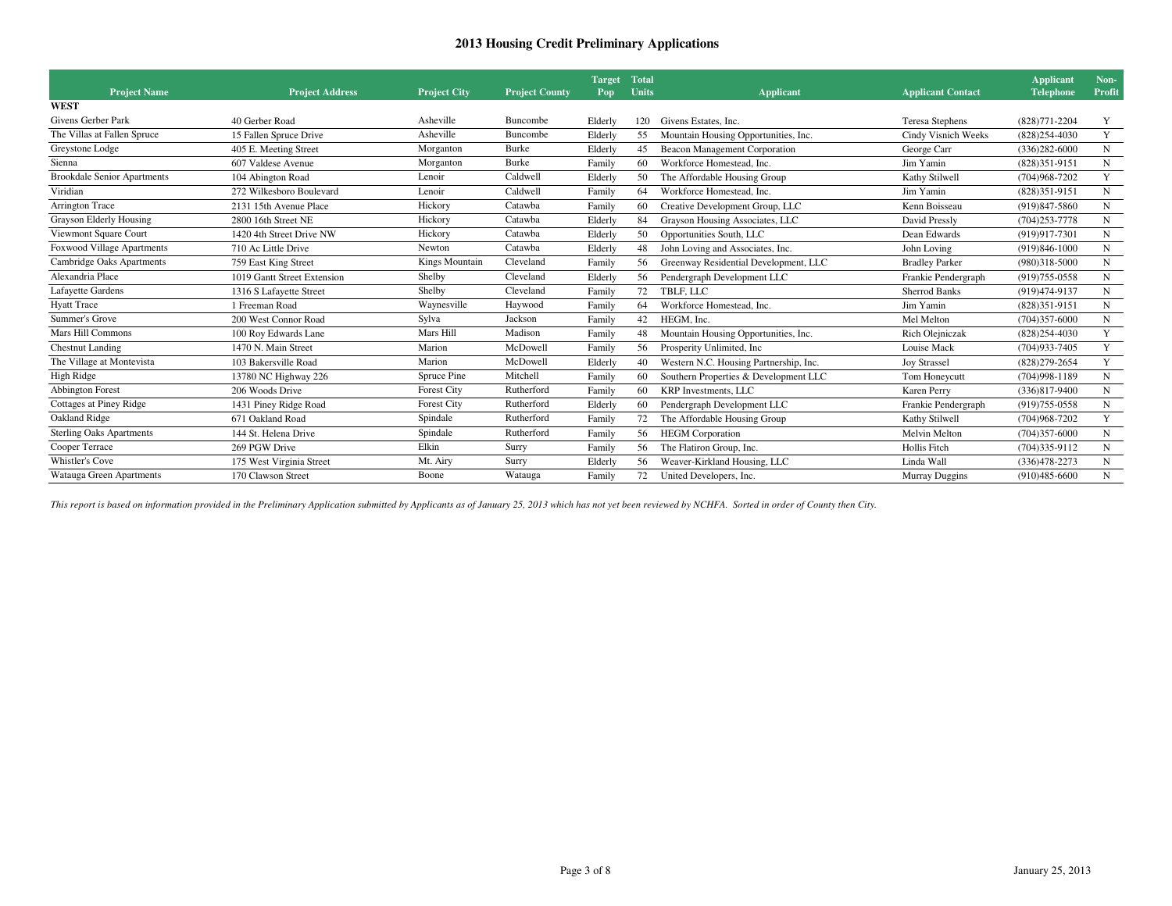|                                    |                             |                     |                       | <b>Target</b> | <b>Total</b> |                                        |                          | <b>Applicant</b>  | Non-        |
|------------------------------------|-----------------------------|---------------------|-----------------------|---------------|--------------|----------------------------------------|--------------------------|-------------------|-------------|
| <b>Project Name</b>                | <b>Project Address</b>      | <b>Project City</b> | <b>Project County</b> | Pop           | Units        | <b>Applicant</b>                       | <b>Applicant Contact</b> | <b>Telephone</b>  | Profit      |
| <b>WEST</b>                        |                             |                     |                       |               |              |                                        |                          |                   |             |
| Givens Gerber Park                 | 40 Gerber Road              | Asheville           | Buncombe              | Elderly       | 120          | Givens Estates, Inc.                   | Teresa Stephens          | (828) 771-2204    | Y           |
| The Villas at Fallen Spruce        | 15 Fallen Spruce Drive      | Asheville           | Buncombe              | Elderly       | 55           | Mountain Housing Opportunities, Inc.   | Cindy Visnich Weeks      | $(828)254 - 4030$ | Y           |
| Greystone Lodge                    | 405 E. Meeting Street       | Morganton           | Burke                 | Elderly       | 45           | Beacon Management Corporation          | George Carr              | $(336)282 - 6000$ | N           |
| Sienna                             | 607 Valdese Avenue          | Morganton           | Burke                 | Family        | 60           | Workforce Homestead, Inc.              | Jim Yamin                | $(828)351-9151$   | N           |
| <b>Brookdale Senior Apartments</b> | 104 Abington Road           | Lenoir              | Caldwell              | Elderly       | 50           | The Affordable Housing Group           | Kathy Stilwell           | $(704)968 - 7202$ | Y           |
| Viridian                           | 272 Wilkesboro Boulevard    | Lenoir              | Caldwell              | Family        | 64           | Workforce Homestead, Inc.              | Jim Yamin                | $(828)351-9151$   | ${\bf N}$   |
| Arrington Trace                    | 2131 15th Avenue Place      | Hickory             | Catawba               | Family        | 60           | Creative Development Group, LLC        | Kenn Boisseau            | (919)847-5860     | N           |
| Grayson Elderly Housing            | 2800 16th Street NE         | Hickory             | Catawba               | Elderly       | 84           | Grayson Housing Associates, LLC        | David Pressly            | $(704)253 - 7778$ | N           |
| Viewmont Square Court              | 1420 4th Street Drive NW    | Hickory             | Catawba               | Elderly       | 50           | Opportunities South, LLC               | Dean Edwards             | (919) 917-7301    | N           |
| Foxwood Village Apartments         | 710 Ac Little Drive         | Newton              | Catawba               | Elderly       | 48           | John Loving and Associates, Inc.       | John Loving              | $(919)846 - 1000$ | ${\bf N}$   |
| Cambridge Oaks Apartments          | 759 East King Street        | Kings Mountain      | Cleveland             | Family        | 56           | Greenway Residential Development, LLC  | <b>Bradley Parker</b>    | $(980)318 - 5000$ | ${\bf N}$   |
| Alexandria Place                   | 1019 Gantt Street Extension | Shelby              | Cleveland             | Elderly       | 56           | Pendergraph Development LLC            | Frankie Pendergraph      | (919) 755-0558    | N           |
| <b>Lafayette Gardens</b>           | 1316 S Lafayette Street     | Shelby              | Cleveland             | Family        | 72           | TBLF, LLC                              | <b>Sherrod Banks</b>     | (919) 474-9137    | N           |
| <b>Hyatt Trace</b>                 | 1 Freeman Road              | Waynesville         | Haywood               | Family        | 64           | Workforce Homestead, Inc.              | Jim Yamin                | $(828)351-9151$   | $\mathbf N$ |
| Summer's Grove                     | 200 West Connor Road        | Sylva               | Jackson               | Family        | 42           | HEGM. Inc.                             | Mel Melton               | $(704)357-6000$   | ${\bf N}$   |
| Mars Hill Commons                  | 100 Roy Edwards Lane        | Mars Hill           | Madison               | Family        | 48           | Mountain Housing Opportunities, Inc.   | Rich Olejniczak          | $(828)254 - 4030$ | Y           |
| <b>Chestnut Landing</b>            | 1470 N. Main Street         | Marion              | McDowell              | Family        | 56           | Prosperity Unlimited, Inc.             | Louise Mack              | $(704)933 - 7405$ | Y           |
| The Village at Montevista          | 103 Bakersville Road        | Marion              | McDowell              | Elderly       | 40           | Western N.C. Housing Partnership, Inc. | <b>Joy Strassel</b>      | $(828)279 - 2654$ | Y           |
| High Ridge                         | 13780 NC Highway 226        | Spruce Pine         | Mitchell              | Family        | 60           | Southern Properties & Development LLC  | Tom Honeycutt            | $(704)998-1189$   | N           |
| <b>Abbington Forest</b>            | 206 Woods Drive             | Forest City         | Rutherford            | Family        | 60           | KRP Investments, LLC                   | Karen Perry              | $(336)817 - 9400$ | ${\bf N}$   |
| Cottages at Piney Ridge            | 1431 Piney Ridge Road       | Forest City         | Rutherford            | Elderly       | 60           | Pendergraph Development LLC            | Frankie Pendergraph      | (919) 755-0558    | ${\bf N}$   |
| Oakland Ridge                      | 671 Oakland Road            | Spindale            | Rutherford            | Family        | 72           | The Affordable Housing Group           | Kathy Stilwell           | $(704)968 - 7202$ | Y           |
| <b>Sterling Oaks Apartments</b>    | 144 St. Helena Drive        | Spindale            | Rutherford            | Family        | 56           | <b>HEGM</b> Corporation                | Melvin Melton            | $(704)357-6000$   | $\mathbf N$ |
| Cooper Terrace                     | 269 PGW Drive               | Elkin               | Surry                 | Family        | 56           | The Flatiron Group, Inc.               | Hollis Fitch             | $(704)335-9112$   | N           |
| Whistler's Cove                    | 175 West Virginia Street    | Mt. Airy            | Surry                 | Elderly       | 56           | Weaver-Kirkland Housing, LLC           | Linda Wall               | $(336)478 - 2273$ | N           |
| Watauga Green Apartments           | 170 Clawson Street          | Boone               | Watauga               | Family        | 72           | United Developers, Inc.                | Murray Duggins           | $(910)485-6600$   | N           |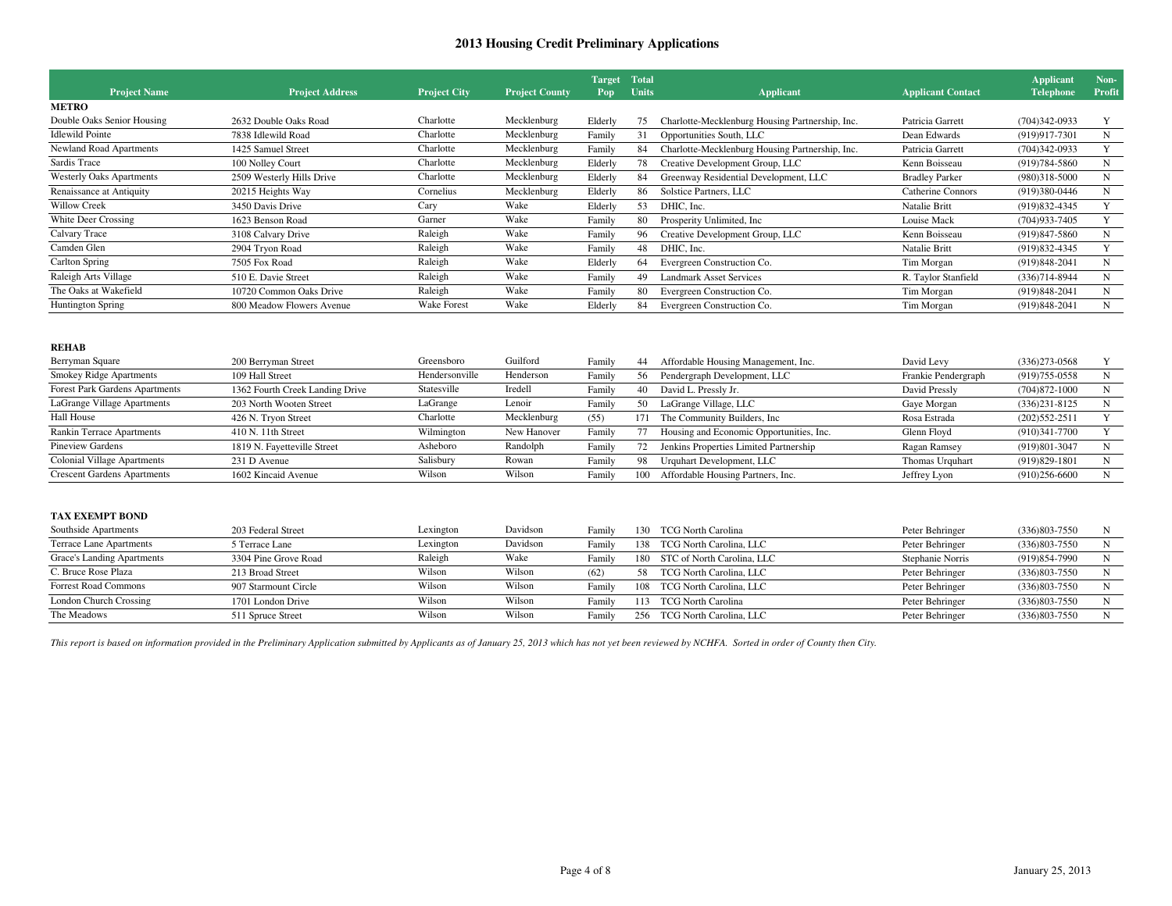| <b>Project Name</b>             | <b>Project Address</b>    | <b>Project City</b> | <b>Project County</b> | <b>Target</b><br>Pop | <b>Total</b><br><b>Units</b> | <b>Applicant</b>                                | <b>Applicant Contact</b> | <b>Applicant</b><br><b>Telephone</b> | Non-<br><b>Profit</b> |
|---------------------------------|---------------------------|---------------------|-----------------------|----------------------|------------------------------|-------------------------------------------------|--------------------------|--------------------------------------|-----------------------|
| <b>METRO</b>                    |                           |                     |                       |                      |                              |                                                 |                          |                                      |                       |
| Double Oaks Senior Housing      | 2632 Double Oaks Road     | Charlotte           | Mecklenburg           | Elderly              | 75                           | Charlotte-Mecklenburg Housing Partnership, Inc. | Patricia Garrett         | $(704)342-0933$                      |                       |
| <b>Idlewild Pointe</b>          | 7838 Idlewild Road        | Charlotte           | Mecklenburg           | Family               | 31                           | Opportunities South, LLC                        | Dean Edwards             | (919) 917-7301                       | N                     |
| Newland Road Apartments         | 1425 Samuel Street        | Charlotte           | Mecklenburg           | Family               | 84                           | Charlotte-Mecklenburg Housing Partnership, Inc. | Patricia Garrett         | $(704)342-0933$                      |                       |
| Sardis Trace                    | 100 Nolley Court          | Charlotte           | Mecklenburg           | Elderly              | 78                           | Creative Development Group, LLC                 | Kenn Boisseau            | $(919)784 - 5860$                    | N                     |
| <b>Westerly Oaks Apartments</b> | 2509 Westerly Hills Drive | Charlotte           | Mecklenburg           | Elderly              | 84                           | Greenway Residential Development, LLC           | <b>Bradley Parker</b>    | (980)318-5000                        | N                     |
| Renaissance at Antiquity        | 20215 Heights Way         | Cornelius           | Mecklenburg           | Elderly              | 86                           | Solstice Partners, LLC                          | Catherine Connors        | (919)380-0446                        | N                     |
| <b>Willow Creek</b>             | 3450 Davis Drive          | Cary                | Wake                  | Elderly              | 53                           | DHIC. Inc.                                      | <b>Natalie Britt</b>     | $(919)832 - 4345$                    |                       |
| White Deer Crossing             | 1623 Benson Road          | Garner              | Wake                  | Family               | -80                          | Prosperity Unlimited, Inc.                      | Louise Mack              | $(704)933 - 7405$                    |                       |
| Calvary Trace                   | 3108 Calvary Drive        | Raleigh             | Wake                  | Family               | 96                           | Creative Development Group, LLC                 | Kenn Boisseau            | $(919)847 - 5860$                    | N                     |
| Camden Glen                     | 2904 Tryon Road           | Raleigh             | Wake                  | Family               | 48                           | DHIC, Inc.                                      | Natalie Britt            | $(919)832 - 4345$                    |                       |
| Carlton Spring                  | 7505 Fox Road             | Raleigh             | Wake                  | Elderly              | 64                           | Evergreen Construction Co.                      | Tim Morgan               | $(919)848 - 2041$                    | N                     |
| Raleigh Arts Village            | 510 E. Davie Street       | Raleigh             | Wake                  | Family               | 49                           | Landmark Asset Services                         | R. Taylor Stanfield      | $(336)714 - 8944$                    | N                     |
| The Oaks at Wakefield           | 10720 Common Oaks Drive   | Raleigh             | Wake                  | Family               | 80                           | Evergreen Construction Co.                      | Tim Morgan               | (919) 848-2041                       | N                     |
| <b>Huntington Spring</b>        | 800 Meadow Flowers Avenue | Wake Forest         | Wake                  | Elderly              | 84                           | Evergreen Construction Co.                      | Tim Morgan               | $(919)848-2041$                      | N                     |
|                                 |                           |                     |                       |                      |                              |                                                 |                          |                                      |                       |

| Berryman Square                    | 200 Berryman Street             | Greensboro     | Guilford    | Family | 44  | Affordable Housing Management, Inc.      | David Levy          | $(336)273-0568$   |  |
|------------------------------------|---------------------------------|----------------|-------------|--------|-----|------------------------------------------|---------------------|-------------------|--|
| <b>Smokey Ridge Apartments</b>     | 109 Hall Street                 | Hendersonville | Henderson   | Family | 56  | Pendergraph Development, LLC             | Frankie Pendergraph | (919) 755-0558    |  |
| Forest Park Gardens Apartments     | 1362 Fourth Creek Landing Drive | Statesville    | Iredell     | Family | 40  | David L. Pressly Jr.                     | David Pressly       | $(704)872 - 1000$ |  |
| LaGrange Village Apartments        | 203 North Wooten Street         | LaGrange       | Lenoir      | Family | 50  | LaGrange Village, LLC                    | Gaye Morgan         | $(336)231 - 8125$ |  |
| <b>Hall House</b>                  | 426 N. Tryon Street             | Charlotte      | Mecklenburg | (55)   | 171 | The Community Builders, Inc.             | Rosa Estrada        | $(202)552 - 2511$ |  |
| Rankin Terrace Apartments          | 410 N. 11th Street              | Wilmington     | New Hanover | Family |     | Housing and Economic Opportunities, Inc. | Glenn Floyd         | $(910)341 - 7700$ |  |
| <b>Pineview Gardens</b>            | 1819 N. Fayetteville Street     | Asheboro       | Randolph    | Family | 72  | Jenkins Properties Limited Partnership   | Ragan Ramsey        | (919) 801-3047    |  |
| Colonial Village Apartments        | 231 D Avenue                    | Salisbury      | Rowan       | Family | 98  | Urquhart Development, LLC                | Thomas Urquhart     | $(919)829-1801$   |  |
| <b>Crescent Gardens Apartments</b> | 1602 Kincaid Avenue             | Wilson         | Wilson      | Family | 100 | Affordable Housing Partners, Inc.        | Jeffrey Lyon        | $(910)256-6600$   |  |

### **TAX EXEMPT BOND**

| Southside Apartments        | 203 Federal Street   | Lexington | Davidson | Family | 130. | <b>TCG North Carolina</b>      | Peter Behringer  | $(336)803 - 7550$ |  |
|-----------------------------|----------------------|-----------|----------|--------|------|--------------------------------|------------------|-------------------|--|
| Terrace Lane Apartments     | 5 Terrace Lane       | Lexington | Davidson | Family | 138  | TCG North Carolina, LLC        | Peter Behringer  | $(336)803 - 7550$ |  |
| Grace's Landing Apartments  | 3304 Pine Grove Road | Raleigh   | Wake     | Family |      | 180 STC of North Carolina, LLC | Stephanie Norris | $(919)854 - 7990$ |  |
| C. Bruce Rose Plaza         | 213 Broad Street     | Wilson    | Wilson   | (62)   | 58   | TCG North Carolina, LLC        | Peter Behringer  | $(336)803 - 7550$ |  |
| <b>Forrest Road Commons</b> | 907 Starmount Circle | Wilson    | Wilson   | Family | 108  | TCG North Carolina, LLC        | Peter Behringer  | $(336)803 - 7550$ |  |
| London Church Crossing      | 1701 London Drive    | Wilson    | Wilson   | Family | 113  | <b>TCG North Carolina</b>      | Peter Behringer  | $(336)803 - 7550$ |  |
| The Meadows                 | 511 Spruce Street    | Wilson    | Wilson   | Family | 256  | TCG North Carolina, LLC        | Peter Behringer  | $(336)803 - 7550$ |  |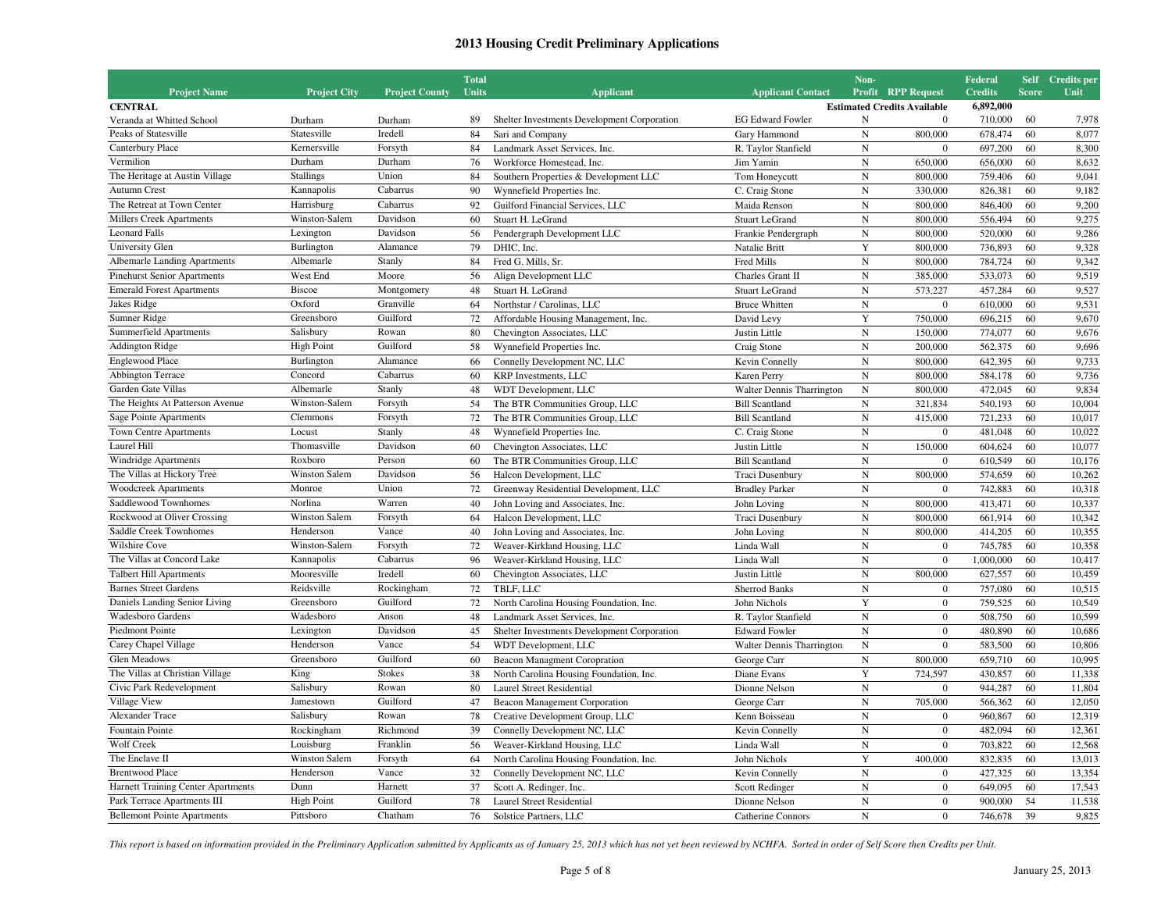| <b>Project Name</b>                         | <b>Project City</b>             | <b>Project County</b> | <b>Total</b><br>Units |                                                                   | <b>Applicant Contact</b>                      | Non-                        | <b>Profit RPP Request</b>                      | Federal<br><b>Credits</b> | <b>Score</b> | Self Credits per<br>Unit |
|---------------------------------------------|---------------------------------|-----------------------|-----------------------|-------------------------------------------------------------------|-----------------------------------------------|-----------------------------|------------------------------------------------|---------------------------|--------------|--------------------------|
|                                             |                                 |                       |                       | <b>Applicant</b>                                                  |                                               |                             |                                                | 6,892,000                 |              |                          |
| <b>CENTRAL</b><br>Veranda at Whitted School | Durham                          | Durham                | 89                    | Shelter Investments Development Corporation                       | <b>EG Edward Fowler</b>                       | N                           | <b>Estimated Credits Available</b><br>$\Omega$ | 710,000                   | 60           | 7,978                    |
| Peaks of Statesville                        | Statesville                     | Iredell               | 84                    | Sari and Company                                                  | Gary Hammond                                  | $\mathbf N$                 | 800,000                                        | 678,474                   | 60           | 8,077                    |
| Canterbury Place                            | Kernersville                    | Forsyth               | 84                    | Landmark Asset Services, Inc.                                     | R. Taylor Stanfield                           | $\mathbf N$                 | $\Omega$                                       | 697.200                   | 60           | 8,300                    |
| Vermilion                                   | Durham                          | Durham                | 76                    | Workforce Homestead, Inc.                                         | Jim Yamin                                     | $\mathbf N$                 | 650,000                                        | 656,000                   | 60           | 8,632                    |
| The Heritage at Austin Village              | <b>Stallings</b>                | Union                 | 84                    | Southern Properties & Development LLC                             |                                               | ${\bf N}$                   | 800,000                                        | 759,406                   | 60           | 9,041                    |
| <b>Autumn Crest</b>                         | Kannapolis                      | Cabarrus              | 90                    | Wynnefield Properties Inc.                                        | Tom Honeycutt<br>C. Craig Stone               | $\mathbf N$                 | 330,000                                        | 826,381                   | 60           | 9,182                    |
| The Retreat at Town Center                  | Harrisburg                      | Cabarrus              | 92                    | Guilford Financial Services, LLC                                  | Maida Renson                                  | ${\bf N}$                   | 800,000                                        | 846,400                   | 60           | 9,200                    |
| <b>Millers Creek Apartments</b>             | Winston-Salem                   | Davidson              | 60                    | Stuart H. LeGrand                                                 | <b>Stuart LeGrand</b>                         | $\overline{N}$              | 800,000                                        | 556,494                   | 60           | 9,275                    |
| <b>Leonard Falls</b>                        | Lexington                       | Davidson              | 56                    | Pendergraph Development LLC                                       | Frankie Pendergraph                           | $\mathbf N$                 | 800,000                                        | 520,000                   | 60           | 9,286                    |
| University Glen                             | Burlington                      | Alamance              | 79                    | DHIC, Inc.                                                        | Natalie Britt                                 | Y                           | 800,000                                        | 736,893                   | 60           | 9,328                    |
| <b>Albemarle Landing Apartments</b>         | Albemarle                       | Stanly                | 84                    | Fred G. Mills, Sr.                                                | Fred Mills                                    | $\mathbf N$                 | 800,000                                        | 784,724                   | 60           | 9,342                    |
| <b>Pinehurst Senior Apartments</b>          | West End                        | Moore                 | 56                    |                                                                   |                                               | ${\bf N}$                   |                                                | 533,073                   | 60           |                          |
| <b>Emerald Forest Apartments</b>            | <b>Biscoe</b>                   | Montgomery            | 48                    | Align Development LLC                                             | Charles Grant II                              | $\mathbf N$                 | 385,000<br>573,227                             |                           | 60           | 9,519                    |
| Jakes Ridge                                 | Oxford                          | Granville             | 64                    | Stuart H. LeGrand<br>Northstar / Carolinas, LLC                   | <b>Stuart LeGrand</b><br><b>Bruce Whitten</b> | ${\bf N}$                   | $\mathbf{0}$                                   | 457,284<br>610,000        | 60           | 9,527<br>9,531           |
| Sumner Ridge                                | Greensboro                      | Guilford              | 72                    |                                                                   |                                               | $\mathbf Y$                 | 750,000                                        | 696,215                   | 60           | 9,670                    |
| Summerfield Apartments                      | Salisbury                       | Rowan                 | 80                    | Affordable Housing Management, Inc.<br>Chevington Associates, LLC | David Levy<br>Justin Little                   | $\mathbf N$                 |                                                | 774,077                   | 60           | 9,676                    |
| <b>Addington Ridge</b>                      |                                 | Guilford              | 58                    |                                                                   |                                               |                             | 150,000<br>200,000                             |                           | 60           |                          |
| <b>Englewood Place</b>                      | <b>High Point</b><br>Burlington | Alamance              |                       | Wynnefield Properties Inc.                                        | Craig Stone                                   | ${\bf N}$<br>$\overline{N}$ |                                                | 562,375                   |              | 9,696                    |
|                                             |                                 |                       | 66                    | Connelly Development NC, LLC                                      | Kevin Connelly                                |                             | 800,000                                        | 642.395                   | 60           | 9,733                    |
| Abbington Terrace                           | Concord                         | Cabarrus              | 60                    | KRP Investments, LLC                                              | Karen Perry                                   | $\mathbf N$                 | 800,000                                        | 584,178                   | 60           | 9,736                    |
| Garden Gate Villas                          | Albemarle                       | Stanly                | 48                    | WDT Development, LLC                                              | Walter Dennis Tharrington                     | ${\bf N}$                   | 800,000                                        | 472,045                   | 60           | 9,834                    |
| The Heights At Patterson Avenue             | Winston-Salem                   | Forsyth               | 54                    | The BTR Communities Group, LLC                                    | <b>Bill Scantland</b>                         | $\mathbf N$                 | 321,834                                        | 540,193                   | 60           | 10,004                   |
| Sage Pointe Apartments                      | Clemmons                        | Forsyth               | 72                    | The BTR Communities Group, LLC                                    | <b>Bill Scantland</b>                         | ${\bf N}$                   | 415,000                                        | 721,233                   | 60           | 10,017                   |
| <b>Town Centre Apartments</b>               | Locust                          | Stanly                | 48                    | Wynnefield Properties Inc.                                        | C. Craig Stone                                | $\mathbf N$                 | $\overline{0}$                                 | 481,048                   | 60           | 10.022                   |
| Laurel Hill                                 | Thomasville                     | Davidson              | 60                    | Chevington Associates, LLC                                        | Justin Little                                 | $\mathbf N$                 | 150,000                                        | 604,624                   | 60           | 10,077                   |
| Windridge Apartments                        | Roxboro                         | Person                | 60                    | The BTR Communities Group, LLC                                    | <b>Bill Scantland</b>                         | $\mathbf N$                 | $\overline{0}$                                 | 610.549                   | 60           | 10,176                   |
| The Villas at Hickory Tree                  | Winston Salem                   | Davidson              | 56                    | Halcon Development, LLC                                           | Traci Dusenbury                               | $\mathbf N$                 | 800,000                                        | 574,659                   | 60           | 10,262                   |
| <b>Woodcreek Apartments</b>                 | Monroe                          | Union                 | 72                    | Greenway Residential Development, LLC                             | <b>Bradley Parker</b>                         | $\mathbf N$                 | $\bf{0}$                                       | 742,883                   | 60           | 10,318                   |
| Saddlewood Townhomes                        | Norlina                         | Warren                | 40                    | John Loving and Associates, Inc.                                  | John Loving                                   | $\mathbf N$                 | 800,000                                        | 413,471                   | 60           | 10,337                   |
| Rockwood at Oliver Crossing                 | Winston Salem                   | Forsyth               | 64                    | Halcon Development, LLC                                           | Traci Dusenbury                               | $\mathbf N$                 | 800,000                                        | 661,914                   | 60           | 10,342                   |
| Saddle Creek Townhomes                      | Henderson                       | Vance                 | 40                    | John Loving and Associates, Inc.                                  | John Loving                                   | ${\bf N}$                   | 800,000                                        | 414,205                   | 60           | 10,355                   |
| Wilshire Cove                               | Winston-Salem                   | Forsyth               | 72                    | Weaver-Kirkland Housing, LLC                                      | Linda Wall                                    | $\mathbf N$                 | $\overline{0}$                                 | 745,785                   | 60           | 10,358                   |
| The Villas at Concord Lake                  | Kannapolis                      | Cabarrus              | 96                    | Weaver-Kirkland Housing, LLC                                      | Linda Wall                                    | ${\bf N}$                   | $\overline{0}$                                 | 1,000,000                 | 60           | 10,417                   |
| <b>Talbert Hill Apartments</b>              | Mooresville                     | Iredell               | 60                    | Chevington Associates, LLC                                        | Justin Little                                 | $\mathbf N$                 | 800,000                                        | 627,557                   | 60           | 10,459                   |
| <b>Barnes Street Gardens</b>                | Reidsville                      | Rockingham            | 72                    | TBLF, LLC                                                         | <b>Sherrod Banks</b>                          | $\overline{N}$              | $\overline{0}$                                 | 757,080                   | 60           | 10,515                   |
| Daniels Landing Senior Living               | Greensboro                      | Guilford              | 72                    | North Carolina Housing Foundation, Inc.                           | John Nichols                                  | Y                           | $\mathbf{0}$                                   | 759,525                   | 60           | 10,549                   |
| <b>Wadesboro Gardens</b>                    | Wadesboro                       | Anson                 | 48                    | Landmark Asset Services, Inc.                                     | R. Taylor Stanfield                           | ${\bf N}$                   | $\overline{0}$                                 | 508,750                   | 60           | 10,599                   |
| Piedmont Pointe                             | Lexington                       | Davidson              | 45                    | Shelter Investments Development Corporation                       | <b>Edward Fowler</b>                          | $\mathbf N$                 | $\overline{0}$                                 | 480,890                   | 60           | 10,686                   |
| Carey Chapel Village                        | Henderson                       | Vance                 | 54                    | WDT Development, LLC                                              | Walter Dennis Tharrington                     | ${\bf N}$                   | $\overline{0}$                                 | 583,500                   | 60           | 10,806                   |
| <b>Glen Meadows</b>                         | Greensboro                      | Guilford              | 60                    | <b>Beacon Managment Coropration</b>                               | George Carr                                   | $\mathbf N$                 | 800,000                                        | 659,710                   | 60           | 10,995                   |
| The Villas at Christian Village             | King                            | Stokes                | 38                    | North Carolina Housing Foundation, Inc.                           | Diane Evans                                   | $\mathbf Y$                 | 724,597                                        | 430,857                   | 60           | 11,338                   |
| Civic Park Redevelopment                    | Salisbury                       | Rowan                 | 80                    | <b>Laurel Street Residential</b>                                  | Dionne Nelson                                 | ${\bf N}$                   | $\boldsymbol{0}$                               | 944,287                   | 60           | 11,804                   |
| Village View                                | Jamestown                       | Guilford              | 47                    | Beacon Management Corporation                                     | George Carr                                   | ${\bf N}$                   | 705,000                                        | 566,362                   | 60           | 12,050                   |
| Alexander Trace                             | Salisbury                       | Rowan                 | 78                    | Creative Development Group, LLC                                   | Kenn Boisseau                                 | ${\bf N}$                   | $\overline{0}$                                 | 960,867                   | 60           | 12,319                   |
| Fountain Pointe                             | Rockingham                      | Richmond              | 39                    | Connelly Development NC, LLC                                      | Kevin Connelly                                | $\mathbf N$                 | $\overline{0}$                                 | 482,094                   | 60           | 12,361                   |
| Wolf Creek                                  | Louisburg                       | Franklin              | 56                    | Weaver-Kirkland Housing, LLC                                      | Linda Wall                                    | $\mathbf N$                 | $\overline{0}$                                 | 703,822                   | 60           | 12,568                   |
| The Enclave II                              | <b>Winston Salem</b>            | Forsyth               | 64                    | North Carolina Housing Foundation, Inc.                           | John Nichols                                  | Y                           | 400,000                                        | 832,835                   | 60           | 13,013                   |
| <b>Brentwood Place</b>                      | Henderson                       | Vance                 | 32                    | Connelly Development NC, LLC                                      | Kevin Connelly                                | ${\bf N}$                   | $\boldsymbol{0}$                               | 427,325                   | 60           | 13,354                   |
| Harnett Training Center Apartments          | Dunn                            | Harnett               | 37                    | Scott A. Redinger, Inc.                                           | Scott Redinger                                | ${\bf N}$                   | $\mathbf{0}$                                   | 649,095                   | 60           | 17,543                   |
| Park Terrace Apartments III                 | <b>High Point</b>               | Guilford              | 78                    | <b>Laurel Street Residential</b>                                  | Dionne Nelson                                 | $\mathbf N$                 | $\overline{0}$                                 | 900,000                   | 54           | 11,538                   |
| <b>Bellemont Pointe Apartments</b>          | Pittsboro                       | Chatham               | 76                    | Solstice Partners, LLC                                            | Catherine Connors                             | $\mathbf N$                 | $\overline{0}$                                 | 746,678                   | 39           | 9,825                    |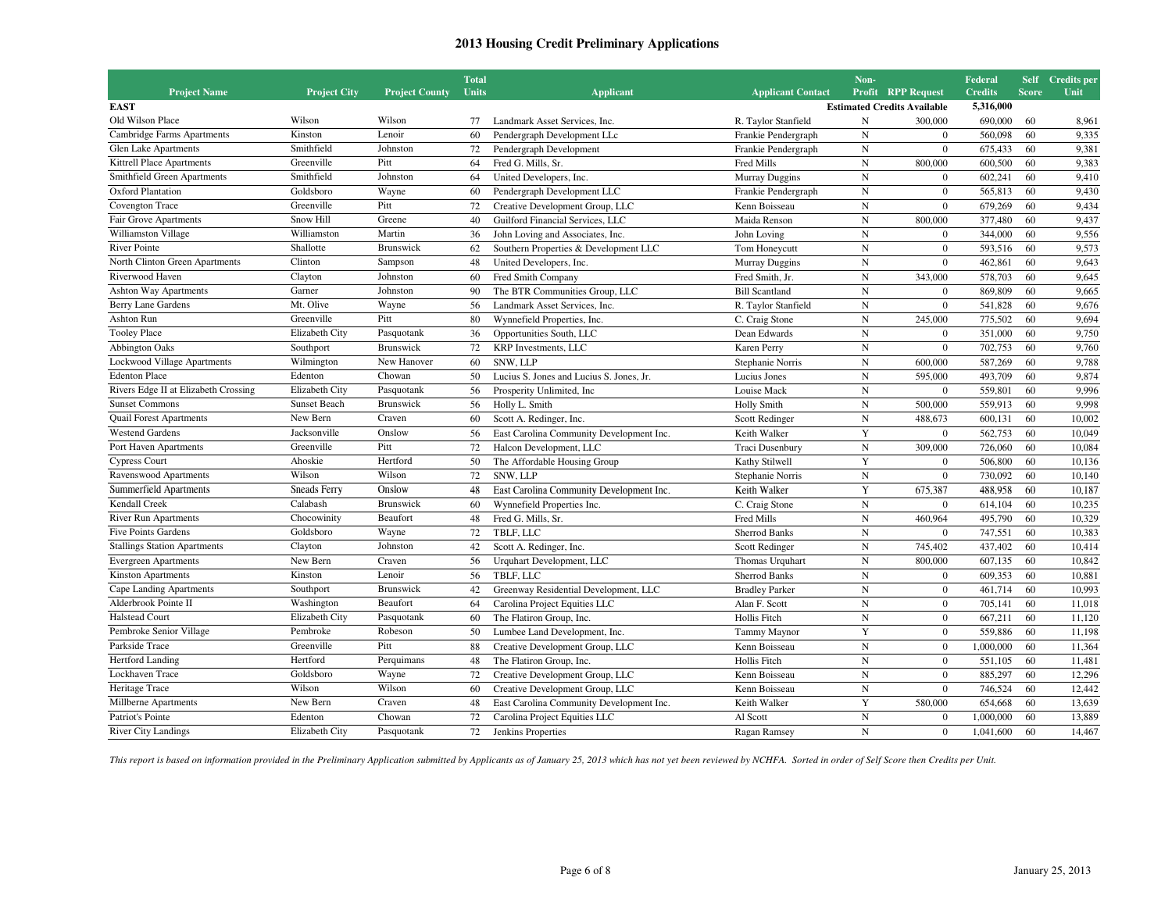|                                      |                     |                       | <b>Total</b> |                                          |                          | Non-        |                                    | Federal        |              | Self Credits per |
|--------------------------------------|---------------------|-----------------------|--------------|------------------------------------------|--------------------------|-------------|------------------------------------|----------------|--------------|------------------|
| <b>Project Name</b>                  | <b>Project City</b> | <b>Project County</b> | <b>Units</b> | <b>Applicant</b>                         | <b>Applicant Contact</b> |             | <b>Profit RPP Request</b>          | <b>Credits</b> | <b>Score</b> | Unit             |
| <b>EAST</b>                          |                     |                       |              |                                          |                          |             | <b>Estimated Credits Available</b> | 5,316,000      |              |                  |
| Old Wilson Place                     | Wilson              | Wilson                | 77           | Landmark Asset Services, Inc.            | R. Taylor Stanfield      | N           | 300,000                            | 690,000        | 60           | 8,961            |
| Cambridge Farms Apartments           | Kinston             | Lenoir                | 60           | Pendergraph Development LLc              | Frankie Pendergraph      | ${\bf N}$   | $\mathbf{0}$                       | 560,098        | 60           | 9,335            |
| <b>Glen Lake Apartments</b>          | Smithfield          | Johnston              | 72           | Pendergraph Development                  | Frankie Pendergraph      | ${\bf N}$   | $\mathbf{0}$                       | 675,433        | 60           | 9,381            |
| Kittrell Place Apartments            | Greenville          | Pitt                  | 64           | Fred G. Mills, Sr.                       | Fred Mills               | $\mathbf N$ | 800,000                            | 600,500        | 60           | 9,383            |
| Smithfield Green Apartments          | Smithfield          | Johnston              | 64           | United Developers, Inc.                  | <b>Murray Duggins</b>    | $\mathbf N$ | $\Omega$                           | 602,241        | 60           | 9,410            |
| Oxford Plantation                    | Goldsboro           | Wayne                 | 60           | Pendergraph Development LLC              | Frankie Pendergraph      | $\mathbf N$ | $\mathbf{0}$                       | 565,813        | 60           | 9,430            |
| Covengton Trace                      | Greenville          | Pitt                  | 72           | Creative Development Group, LLC          | Kenn Boisseau            | N           | $\overline{0}$                     | 679.269        | 60           | 9,434            |
| Fair Grove Apartments                | Snow Hill           | Greene                | 40           | Guilford Financial Services, LLC         | Maida Renson             | $\mathbf N$ | 800,000                            | 377,480        | 60           | 9,437            |
| Williamston Village                  | Williamston         | Martin                | 36           | John Loving and Associates, Inc.         | John Loving              | $_{\rm N}$  | $\overline{0}$                     | 344,000        | 60           | 9,556            |
| <b>River Pointe</b>                  | Shallotte           | <b>Brunswick</b>      | 62           | Southern Properties & Development LLC    | Tom Honeycutt            | $\mathbf N$ | $\overline{0}$                     | 593,516        | 60           | 9,573            |
| North Clinton Green Apartments       | Clinton             | Sampson               | 48           | United Developers, Inc.                  | <b>Murray Duggins</b>    | $\mathbf N$ | $\overline{0}$                     | 462,861        | 60           | 9,643            |
| Riverwood Haven                      | Clayton             | Johnston              | 60           | Fred Smith Company                       | Fred Smith, Jr.          | $_{\rm N}$  | 343,000                            | 578,703        | 60           | 9,645            |
| <b>Ashton Way Apartments</b>         | Garner              | Johnston              | 90           | The BTR Communities Group, LLC           | <b>Bill Scantland</b>    | $\mathbf N$ | $\theta$                           | 869,809        | 60           | 9,665            |
| <b>Berry Lane Gardens</b>            | Mt. Olive           | Wayne                 | 56           | Landmark Asset Services, Inc.            | R. Taylor Stanfield      | $\mathbf N$ | $\mathbf{0}$                       | 541,828        | 60           | 9,676            |
| <b>Ashton Run</b>                    | Greenville          | Pitt                  | 80           | Wynnefield Properties, Inc.              | C. Craig Stone           | $\mathbf N$ | 245,000                            | 775,502        | 60           | 9,694            |
| <b>Tooley Place</b>                  | Elizabeth City      | Pasquotank            | 36           | Opportunities South, LLC                 | Dean Edwards             | N           | $\overline{0}$                     | 351,000        | 60           | 9,750            |
| <b>Abbington Oaks</b>                | Southport           | Brunswick             | 72           | KRP Investments, LLC                     | Karen Perry              | $\mathbf N$ | $\overline{0}$                     | 702,753        | 60           | 9,760            |
| <b>Lockwood Village Apartments</b>   | Wilmington          | New Hanover           | 60           | SNW, LLP                                 | Stephanie Norris         | $\mathbf N$ | 600,000                            | 587,269        | 60           | 9,788            |
| <b>Edenton Place</b>                 | Edenton             | Chowan                | 50           | Lucius S. Jones and Lucius S. Jones, Jr. | Lucius Jones             | $\mathbf N$ | 595,000                            | 493,709        | 60           | 9,874            |
| Rivers Edge II at Elizabeth Crossing | Elizabeth City      | Pasquotank            | 56           | Prosperity Unlimited, Inc.               | Louise Mack              | $\mathbf N$ | $\mathbf{0}$                       | 559,801        | 60           | 9,996            |
| <b>Sunset Commons</b>                | <b>Sunset Beach</b> | <b>Brunswick</b>      | 56           | Holly L. Smith                           | <b>Holly Smith</b>       | $_{\rm N}$  | 500,000                            | 559,913        | 60           | 9,998            |
| <b>Quail Forest Apartments</b>       | New Bern            | Craven                | 60           | Scott A. Redinger, Inc.                  | Scott Redinger           | $\mathbf N$ | 488,673                            | 600,131        | 60           | 10,002           |
| <b>Westend Gardens</b>               | Jacksonville        | Onslow                | 56           | East Carolina Community Development Inc. | Keith Walker             | Y           | $\overline{0}$                     | 562,753        | 60           | 10,049           |
| Port Haven Apartments                | Greenville          | Pitt                  | 72           | Halcon Development, LLC                  | Traci Dusenbury          | $\mathbf N$ | 309,000                            | 726,060        | 60           | 10,084           |
| <b>Cypress Court</b>                 | Ahoskie             | Hertford              | 50           | The Affordable Housing Group             | Kathy Stilwell           | $\mathbf Y$ | $\mathbf{0}$                       | 506,800        | 60           | 10,136           |
| Ravenswood Apartments                | Wilson              | Wilson                | 72           | SNW, LLP                                 | Stephanie Norris         | $_{\rm N}$  | $\overline{0}$                     | 730,092        | 60           | 10,140           |
| Summerfield Apartments               | <b>Sneads Ferry</b> | Onslow                | 48           | East Carolina Community Development Inc. | Keith Walker             | Y           | 675,387                            | 488,958        | 60           | 10,187           |
| Kendall Creek                        | Calabash            | Brunswick             | 60           | Wynnefield Properties Inc.               | C. Craig Stone           | $\mathbf N$ | $\mathbf{0}$                       | 614,104        | 60           | 10,235           |
| <b>River Run Apartments</b>          | Chocowinity         | Beaufort              | 48           | Fred G. Mills, Sr.                       | Fred Mills               | $\mathbf N$ | 460,964                            | 495,790        | 60           | 10,329           |
| <b>Five Points Gardens</b>           | Goldsboro           | Wayne                 | 72           | TBLF, LLC                                | <b>Sherrod Banks</b>     | $\mathbf N$ | $\theta$                           | 747,551        | 60           | 10,383           |
| <b>Stallings Station Apartments</b>  | Clayton             | Johnston              | 42           | Scott A. Redinger, Inc.                  | Scott Redinger           | $\mathbf N$ | 745,402                            | 437,402        | 60           | 10,414           |
| <b>Evergreen Apartments</b>          | New Bern            | Craven                | 56           | Urquhart Development, LLC                | Thomas Urquhart          | $\mathbf N$ | 800,000                            | 607,135        | 60           | 10,842           |
| <b>Kinston Apartments</b>            | Kinston             | Lenoir                | 56           | TBLF, LLC                                | <b>Sherrod Banks</b>     | $\mathbf N$ | $\Omega$                           | 609,353        | 60           | 10.881           |
| Cape Landing Apartments              | Southport           | Brunswick             | 42           | Greenway Residential Development, LLC    | <b>Bradley Parker</b>    | $\mathbf N$ | $\mathbf{0}$                       | 461,714        | 60           | 10,993           |
| Alderbrook Pointe II                 | Washington          | Beaufort              | 64           | Carolina Project Equities LLC            | Alan F. Scott            | $\mathbf N$ | $\overline{0}$                     | 705,141        | 60           | 11,018           |
| <b>Halstead Court</b>                | Elizabeth City      | Pasquotank            | 60           | The Flatiron Group, Inc.                 | Hollis Fitch             | $\mathbf N$ | $\theta$                           | 667.211        | 60           | 11.120           |
| Pembroke Senior Village              | Pembroke            | Robeson               | 50           | Lumbee Land Development, Inc.            | Tammy Maynor             | Y           | $\overline{0}$                     | 559,886        | 60           | 11,198           |
| Parkside Trace                       | Greenville          | Pitt                  | 88           | Creative Development Group, LLC          | Kenn Boisseau            | $\mathbf N$ | $\mathbf{0}$                       | 1,000,000      | 60           | 11,364           |
| Hertford Landing                     | Hertford            | Perquimans            | 48           | The Flatiron Group, Inc.                 | Hollis Fitch             | $\mathbf N$ | $\mathbf{0}$                       | 551,105        | 60           | 11,481           |
| Lockhaven Trace                      | Goldsboro           | Wayne                 | 72           | Creative Development Group, LLC          | Kenn Boisseau            | $\mathbf N$ | $\theta$                           | 885,297        | 60           | 12,296           |
| Heritage Trace                       | Wilson              | Wilson                | 60           | Creative Development Group, LLC          | Kenn Boisseau            | ${\bf N}$   | $\overline{0}$                     | 746,524        | 60           | 12,442           |
| Millberne Apartments                 | New Bern            | Craven                | 48           | East Carolina Community Development Inc. | Keith Walker             | $\mathbf Y$ | 580,000                            | 654,668        | 60           | 13,639           |
| Patriot's Pointe                     | Edenton             | Chowan                | 72           | Carolina Project Equities LLC            | Al Scott                 | $\mathbf N$ | $\overline{0}$                     | 1,000,000      | 60           | 13,889           |
| <b>River City Landings</b>           | Elizabeth City      | Pasquotank            | 72           | Jenkins Properties                       | Ragan Ramsey             | $\mathbf N$ | $\mathbf{0}$                       | 1,041,600      | 60           | 14,467           |
|                                      |                     |                       |              |                                          |                          |             |                                    |                |              |                  |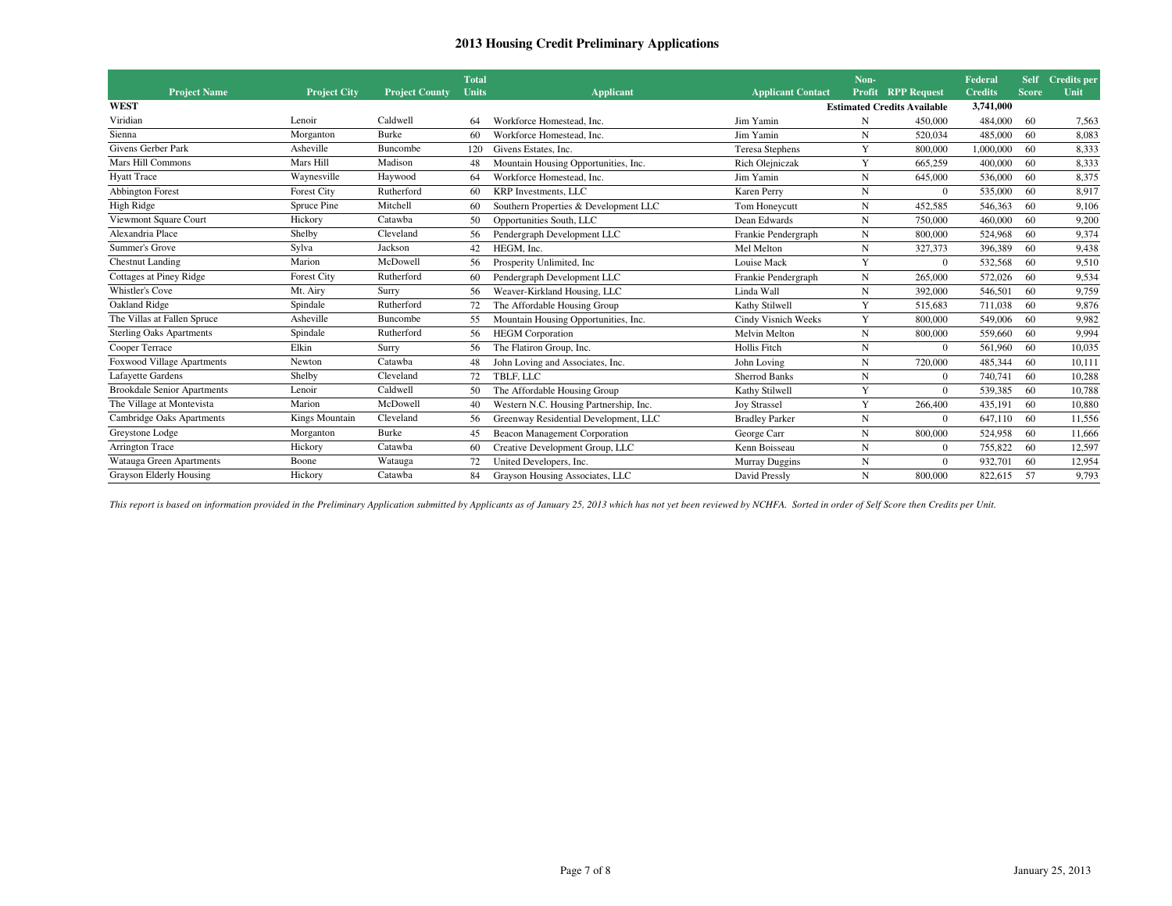| <b>Project Name</b>                | <b>Project City</b> | <b>Project County</b> | <b>Total</b><br><b>Units</b> | <b>Applicant</b>                       | <b>Applicant Contact</b> | Non-<br>Profit | <b>RPP Request</b>                 | Federal<br><b>Credits</b> | <b>Self</b><br><b>Score</b> | Credits per<br>Unit |
|------------------------------------|---------------------|-----------------------|------------------------------|----------------------------------------|--------------------------|----------------|------------------------------------|---------------------------|-----------------------------|---------------------|
| <b>WEST</b>                        |                     |                       |                              |                                        |                          |                | <b>Estimated Credits Available</b> | 3,741,000                 |                             |                     |
|                                    |                     |                       |                              |                                        |                          |                |                                    |                           |                             |                     |
| Viridian                           | Lenoir              | Caldwell              | 64                           | Workforce Homestead, Inc.              | Jim Yamin                | N              | 450,000                            | 484,000                   | -60                         | 7,563               |
| Sienna                             | Morganton           | Burke                 | 60                           | Workforce Homestead, Inc.              | Jim Yamin                | N              | 520,034                            | 485,000                   | 60                          | 8,083               |
| <b>Givens Gerber Park</b>          | Asheville           | Buncombe              | 120                          | Givens Estates, Inc.                   | <b>Teresa Stephens</b>   | Y              | 800,000                            | 1.000.000                 | 60                          | 8.333               |
| Mars Hill Commons                  | Mars Hill           | Madison               |                              | Mountain Housing Opportunities, Inc.   | Rich Olejniczak          | Y              | 665,259                            | 400,000                   | 60                          | 8.333               |
| <b>Hyatt Trace</b>                 | Waynesville         | Haywood               | 64                           | Workforce Homestead, Inc.              | Jim Yamin                | N              | 645,000                            | 536,000                   | -60                         | 8,375               |
| <b>Abbington Forest</b>            | <b>Forest City</b>  | Rutherford            | 60                           | <b>KRP</b> Investments, LLC            | Karen Perry              | N              | $\Omega$                           | 535,000                   | 60                          | 8.917               |
| High Ridge                         | Spruce Pine         | Mitchell              | 60                           | Southern Properties & Development LLC  | Tom Honeycutt            | N              | 452,585                            | 546,363                   | 60                          | 9,106               |
| Viewmont Square Court              | Hickory             | Catawba               | 50                           | Opportunities South, LLC               | Dean Edwards             | N              | 750,000                            | 460,000                   | 60                          | 9,200               |
| Alexandria Place                   | Shelby              | Cleveland             | 56                           | Pendergraph Development LLC            | Frankie Pendergraph      | N              | 800,000                            | 524,968                   | 60                          | 9,374               |
| Summer's Grove                     | Sylva               | Jackson               | 42                           | HEGM, Inc.                             | Mel Melton               | N              | 327,373                            | 396.389                   | 60                          | 9,438               |
| <b>Chestnut Landing</b>            | Marion              | McDowell              | 56                           | Prosperity Unlimited, Inc.             | Louise Mack              | Y              | $\Omega$                           | 532,568                   | 60                          | 9,510               |
| Cottages at Piney Ridge            | Forest City         | Rutherford            | 60                           | Pendergraph Development LLC            | Frankie Pendergraph      | $\mathbf N$    | 265,000                            | 572,026                   | -60                         | 9,534               |
| Whistler's Cove                    | Mt. Airy            | Surry                 | 56                           | Weaver-Kirkland Housing, LLC           | Linda Wall               | N              | 392,000                            | 546,501                   | -60                         | 9,759               |
| Oakland Ridge                      | Spindale            | Rutherford            |                              | The Affordable Housing Group           | Kathy Stilwell           | Y              | 515.683                            | 711.038                   | 60                          | 9,876               |
| The Villas at Fallen Spruce        | Asheville           | Buncombe              | 55                           | Mountain Housing Opportunities, Inc.   | Cindy Visnich Weeks      | Y              | 800,000                            | 549,006                   | -60                         | 9.982               |
| <b>Sterling Oaks Apartments</b>    | Spindale            | Rutherford            | 56                           | <b>HEGM</b> Corporation                | Melvin Melton            | N              | 800,000                            | 559,660                   | 60                          | 9,994               |
| Cooper Terrace                     | Elkin               | Surry                 | 56                           | The Flatiron Group, Inc.               | Hollis Fitch             | N              | $\Omega$                           | 561,960                   | 60                          | 10.035              |
| Foxwood Village Apartments         | Newton              | Catawba               | 48                           | John Loving and Associates, Inc.       | John Loving              | $\mathbf N$    | 720,000                            | 485,344                   | 60                          | 10.111              |
| Lafayette Gardens                  | Shelby              | Cleveland             | 72                           | TBLF, LLC                              | <b>Sherrod Banks</b>     | N              | $\Omega$                           | 740,741                   | 60                          | 10.288              |
| <b>Brookdale Senior Apartments</b> | Lenoir              | Caldwell              |                              | The Affordable Housing Group           | Kathy Stilwell           | Y              | $\Omega$                           | 539,385                   | 60                          | 10,788              |
| The Village at Montevista          | Marion              | McDowell              | 40                           | Western N.C. Housing Partnership, Inc. | <b>Joy Strassel</b>      | Y              | 266,400                            | 435,191                   | 60                          | 10,880              |
| Cambridge Oaks Apartments          | Kings Mountain      | Cleveland             | 56                           | Greenway Residential Development, LLC  | <b>Bradley Parker</b>    | N              | $\Omega$                           | 647.110                   | -60                         | 11.556              |
| Greystone Lodge                    | Morganton           | Burke                 | 45                           | Beacon Management Corporation          | George Carr              | N              | 800,000                            | 524,958                   | 60                          | 11,666              |
| Arrington Trace                    | Hickory             | Catawba               | 60                           | Creative Development Group, LLC        | Kenn Boisseau            | N              | $\Omega$                           | 755,822                   | 60                          | 12,597              |
| Watauga Green Apartments           | Boone               | Watauga               | 72                           | United Developers, Inc.                | Murray Duggins           | N              | $\overline{0}$                     | 932,701                   | 60                          | 12,954              |
| Grayson Elderly Housing            | Hickory             | Catawba               | 84                           | Grayson Housing Associates, LLC        | David Pressly            | N              | 800,000                            | 822,615                   | -57                         | 9,793               |